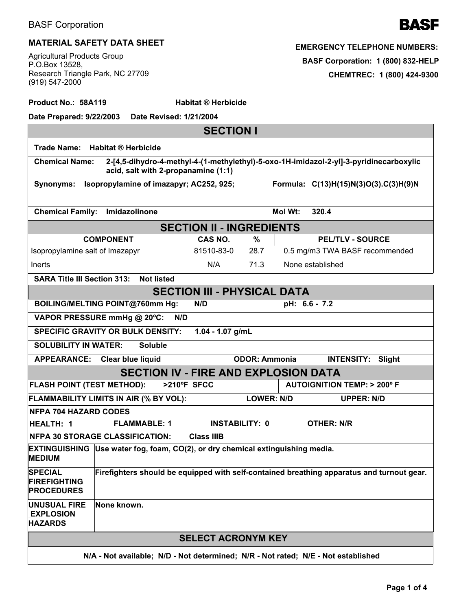

## **MATERIAL SAFETY DATA SHEET**

Agricultural Products Group P.O.Box 13528, Research Triangle Park, NC 27709 (919) 547-2000

| <b>EMERGENCY TELEPHONE NUMBERS:</b> |  |  |  |  |
|-------------------------------------|--|--|--|--|
| BASF Corporation: 1 (800) 832-HELP  |  |  |  |  |
| CHEMTREC: 1 (800) 424-9300          |  |  |  |  |

| Product No.: 58A119                                                                           |                                                                                                                                                        | <b>Habitat ® Herbicide</b>      |                      |                                                                                           |  |
|-----------------------------------------------------------------------------------------------|--------------------------------------------------------------------------------------------------------------------------------------------------------|---------------------------------|----------------------|-------------------------------------------------------------------------------------------|--|
| Date Prepared: 9/22/2003                                                                      | Date Revised: 1/21/2004                                                                                                                                |                                 |                      |                                                                                           |  |
|                                                                                               |                                                                                                                                                        | <b>SECTION I</b>                |                      |                                                                                           |  |
| <b>Trade Name:</b>                                                                            | <b>Habitat ® Herbicide</b>                                                                                                                             |                                 |                      |                                                                                           |  |
|                                                                                               | 2-[4,5-dihydro-4-methyl-4-(1-methylethyl)-5-oxo-1H-imidazol-2-yl]-3-pyridinecarboxylic<br><b>Chemical Name:</b><br>acid, salt with 2-propanamine (1:1) |                                 |                      |                                                                                           |  |
| Isopropylamine of imazapyr; AC252, 925;<br>Synonyms:<br>Formula: C(13)H(15)N(3)O(3).C(3)H(9)N |                                                                                                                                                        |                                 |                      |                                                                                           |  |
| <b>Chemical Family:</b>                                                                       | Imidazolinone                                                                                                                                          |                                 |                      | Mol Wt:<br>320.4                                                                          |  |
|                                                                                               |                                                                                                                                                        | <b>SECTION II - INGREDIENTS</b> |                      |                                                                                           |  |
|                                                                                               | <b>COMPONENT</b>                                                                                                                                       | CAS NO.                         | %                    | <b>PEL/TLV - SOURCE</b>                                                                   |  |
| Isopropylamine salt of Imazapyr                                                               |                                                                                                                                                        | 81510-83-0                      | 28.7                 | 0.5 mg/m3 TWA BASF recommended                                                            |  |
| Inerts                                                                                        |                                                                                                                                                        | N/A                             | 71.3                 | None established                                                                          |  |
| <b>SARA Title III Section 313:</b>                                                            | <b>Not listed</b>                                                                                                                                      |                                 |                      |                                                                                           |  |
| <b>SECTION III - PHYSICAL DATA</b>                                                            |                                                                                                                                                        |                                 |                      |                                                                                           |  |
|                                                                                               | BOILING/MELTING POINT@760mm Hg:                                                                                                                        | N/D                             |                      | pH: 6.6 - 7.2                                                                             |  |
|                                                                                               | VAPOR PRESSURE mmHg @ 20°C:<br>N/D                                                                                                                     |                                 |                      |                                                                                           |  |
|                                                                                               | <b>SPECIFIC GRAVITY OR BULK DENSITY:</b>                                                                                                               | 1.04 - 1.07 g/mL                |                      |                                                                                           |  |
| <b>SOLUBILITY IN WATER:</b>                                                                   | <b>Soluble</b>                                                                                                                                         |                                 |                      |                                                                                           |  |
|                                                                                               | APPEARANCE: Clear blue liquid                                                                                                                          |                                 | <b>ODOR: Ammonia</b> | <b>INTENSITY:</b><br>Slight                                                               |  |
|                                                                                               | <b>SECTION IV - FIRE AND EXPLOSION DATA</b>                                                                                                            |                                 |                      |                                                                                           |  |
| <b>FLASH POINT (TEST METHOD):</b>                                                             | >210°F SFCC                                                                                                                                            |                                 |                      | <b>AUTOIGNITION TEMP: &gt; 200° F</b>                                                     |  |
|                                                                                               | FLAMMABILITY LIMITS IN AIR (% BY VOL):                                                                                                                 |                                 | <b>LOWER: N/D</b>    | <b>UPPER: N/D</b>                                                                         |  |
| <b>NFPA 704 HAZARD CODES</b>                                                                  |                                                                                                                                                        |                                 |                      |                                                                                           |  |
| <b>HEALTH: 1</b>                                                                              | <b>FLAMMABLE: 1</b>                                                                                                                                    | <b>INSTABILITY: 0</b>           |                      | <b>OTHER: N/R</b>                                                                         |  |
| <b>NFPA 30 STORAGE CLASSIFICATION:</b><br><b>Class IIIB</b>                                   |                                                                                                                                                        |                                 |                      |                                                                                           |  |
| <b>MEDIUM</b>                                                                                 | EXTINGUISHING Use water fog, foam, CO(2), or dry chemical extinguishing media.                                                                         |                                 |                      |                                                                                           |  |
| <b>SPECIAL</b><br><b>FIREFIGHTING</b><br><b>PROCEDURES</b>                                    |                                                                                                                                                        |                                 |                      | Firefighters should be equipped with self-contained breathing apparatus and turnout gear. |  |
| <b>UNUSUAL FIRE</b><br><b>EXPLOSION</b><br><b>HAZARDS</b>                                     | None known.                                                                                                                                            |                                 |                      |                                                                                           |  |
|                                                                                               |                                                                                                                                                        | <b>SELECT ACRONYM KEY</b>       |                      |                                                                                           |  |
| N/A - Not available; N/D - Not determined; N/R - Not rated; N/E - Not established             |                                                                                                                                                        |                                 |                      |                                                                                           |  |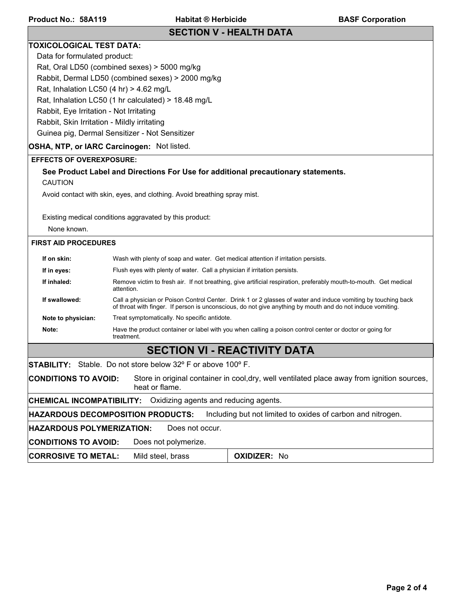## **SECTION V - HEALTH DATA**

### **TOXICOLOGICAL TEST DATA:**

Data for formulated product:

Rat, Oral LD50 (combined sexes) > 5000 mg/kg

Rabbit, Dermal LD50 (combined sexes) > 2000 mg/kg

Rat, Inhalation LC50  $(4 \text{ hr}) > 4.62 \text{ mg/L}$ 

Rat, Inhalation LC50 (1 hr calculated) > 18.48 mg/L

Rabbit, Eye Irritation - Not Irritating

Rabbit, Skin Irritation - Mildly irritating

Guinea pig, Dermal Sensitizer - Not Sensitizer

## **OSHA, NTP, or IARC Carcinogen:** Not listed.

#### **EFFECTS OF OVEREXPOSURE:**

| <b>CAUTION</b>              | See Product Label and Directions For Use for additional precautionary statements.                                               |  |  |  |  |  |
|-----------------------------|---------------------------------------------------------------------------------------------------------------------------------|--|--|--|--|--|
|                             | Avoid contact with skin, eyes, and clothing. Avoid breathing spray mist.                                                        |  |  |  |  |  |
|                             | Existing medical conditions aggravated by this product:                                                                         |  |  |  |  |  |
| None known.                 |                                                                                                                                 |  |  |  |  |  |
| <b>FIRST AID PROCEDURES</b> |                                                                                                                                 |  |  |  |  |  |
| If on skin:                 | Wash with plenty of soap and water. Get medical attention if irritation persists.                                               |  |  |  |  |  |
| If in eyes:                 | Flush eyes with plenty of water. Call a physician if irritation persists.                                                       |  |  |  |  |  |
| If inhaled:                 | Remove victim to fresh air. If not breathing, give artificial respiration, preferably mouth-to-mouth. Get medical<br>attention. |  |  |  |  |  |

## **If swallowed:** Call a physician or Poison Control Center. Drink 1 or 2 glasses of water and induce vomiting by touching back of throat with finger. If person is unconscious, do not give anything by mouth and do not induce vomiting. **Note to physician:** Treat symptomatically. No specific antidote.

**Note:** Have the product container or label with you when calling a poison control center or doctor or going for treatment.

# **SECTION VI - REACTIVITY DATA**

**STABILITY:** Stable. Do not store below 32º F or above 100º F.

**CONDITIONS TO AVOID:** Store in original container in cool,dry, well ventilated place away from ignition sources, heat or flame.

**CHEMICAL INCOMPATIBILITY:** Oxidizing agents and reducing agents.

**HAZARDOUS DECOMPOSITION PRODUCTS:** Including but not limited to oxides of carbon and nitrogen.

**HAZARDOUS POLYMERIZATION:** Does not occur.

**CONDITIONS TO AVOID:** Does not polymerize.

**CORROSIVE TO METAL:** Mild steel, brass **No. 1. OXIDIZER:** No.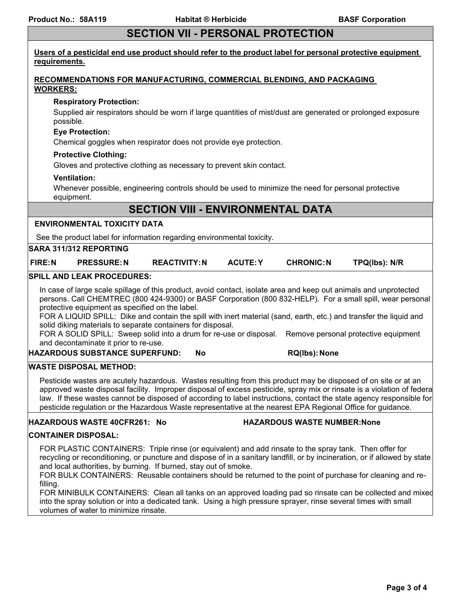# **SECTION VII - PERSONAL PROTECTION**

| Users of a pesticidal end use product should refer to the product label for personal protective equipment<br>requirements.                                                                                                                                                                                                                                                                                                                                                                                                                                                                                                  |                                                                       |                 |  |                   |               |
|-----------------------------------------------------------------------------------------------------------------------------------------------------------------------------------------------------------------------------------------------------------------------------------------------------------------------------------------------------------------------------------------------------------------------------------------------------------------------------------------------------------------------------------------------------------------------------------------------------------------------------|-----------------------------------------------------------------------|-----------------|--|-------------------|---------------|
|                                                                                                                                                                                                                                                                                                                                                                                                                                                                                                                                                                                                                             | RECOMMENDATIONS FOR MANUFACTURING, COMMERCIAL BLENDING, AND PACKAGING |                 |  |                   |               |
| <b>WORKERS:</b>                                                                                                                                                                                                                                                                                                                                                                                                                                                                                                                                                                                                             |                                                                       |                 |  |                   |               |
| <b>Respiratory Protection:</b>                                                                                                                                                                                                                                                                                                                                                                                                                                                                                                                                                                                              |                                                                       |                 |  |                   |               |
| Supplied air respirators should be worn if large quantities of mist/dust are generated or prolonged exposure<br>possible.                                                                                                                                                                                                                                                                                                                                                                                                                                                                                                   |                                                                       |                 |  |                   |               |
| <b>Eye Protection:</b><br>Chemical goggles when respirator does not provide eye protection.                                                                                                                                                                                                                                                                                                                                                                                                                                                                                                                                 |                                                                       |                 |  |                   |               |
| <b>Protective Clothing:</b><br>Gloves and protective clothing as necessary to prevent skin contact.                                                                                                                                                                                                                                                                                                                                                                                                                                                                                                                         |                                                                       |                 |  |                   |               |
| <b>Ventilation:</b><br>Whenever possible, engineering controls should be used to minimize the need for personal protective<br>equipment.                                                                                                                                                                                                                                                                                                                                                                                                                                                                                    |                                                                       |                 |  |                   |               |
|                                                                                                                                                                                                                                                                                                                                                                                                                                                                                                                                                                                                                             | <b>SECTION VIII - ENVIRONMENTAL DATA</b>                              |                 |  |                   |               |
| <b>ENVIRONMENTAL TOXICITY DATA</b>                                                                                                                                                                                                                                                                                                                                                                                                                                                                                                                                                                                          |                                                                       |                 |  |                   |               |
| See the product label for information regarding environmental toxicity.                                                                                                                                                                                                                                                                                                                                                                                                                                                                                                                                                     |                                                                       |                 |  |                   |               |
| <b>SARA 311/312 REPORTING</b>                                                                                                                                                                                                                                                                                                                                                                                                                                                                                                                                                                                               |                                                                       |                 |  |                   |               |
| <b>FIRE:N</b><br><b>PRESSURE: N</b>                                                                                                                                                                                                                                                                                                                                                                                                                                                                                                                                                                                         | <b>REACTIVITY: N</b>                                                  | <b>ACUTE: Y</b> |  | <b>CHRONIC: N</b> | TPQ(lbs): N/R |
| <b>SPILL AND LEAK PROCEDURES:</b>                                                                                                                                                                                                                                                                                                                                                                                                                                                                                                                                                                                           |                                                                       |                 |  |                   |               |
| In case of large scale spillage of this product, avoid contact, isolate area and keep out animals and unprotected<br>persons. Call CHEMTREC (800 424-9300) or BASF Corporation (800 832-HELP). For a small spill, wear personal<br>protective equipment as specified on the label.<br>FOR A LIQUID SPILL: Dike and contain the spill with inert material (sand, earth, etc.) and transfer the liquid and<br>solid diking materials to separate containers for disposal.<br>FOR A SOLID SPILL: Sweep solid into a drum for re-use or disposal. Remove personal protective equipment<br>and decontaminate it prior to re-use. |                                                                       |                 |  |                   |               |
| <b>HAZARDOUS SUBSTANCE SUPERFUND:</b>                                                                                                                                                                                                                                                                                                                                                                                                                                                                                                                                                                                       |                                                                       | No              |  | RQ(lbs): None     |               |
| <b>WASTE DISPOSAL METHOD:</b>                                                                                                                                                                                                                                                                                                                                                                                                                                                                                                                                                                                               |                                                                       |                 |  |                   |               |
| Pesticide wastes are acutely hazardous. Wastes resulting from this product may be disposed of on site or at an<br>approved waste disposal facility. Improper disposal of excess pesticide, spray mix or rinsate is a violation of federa<br>law. If these wastes cannot be disposed of according to label instructions, contact the state agency responsible for<br>pesticide regulation or the Hazardous Waste representative at the nearest EPA Regional Office for guidance.                                                                                                                                             |                                                                       |                 |  |                   |               |
| <b>HAZARDOUS WASTE NUMBER: None</b><br>HAZARDOUS WASTE 40CFR261: No                                                                                                                                                                                                                                                                                                                                                                                                                                                                                                                                                         |                                                                       |                 |  |                   |               |
| <b>CONTAINER DISPOSAL:</b>                                                                                                                                                                                                                                                                                                                                                                                                                                                                                                                                                                                                  |                                                                       |                 |  |                   |               |
| FOR PLASTIC CONTAINERS: Triple rinse (or equivalent) and add rinsate to the spray tank. Then offer for<br>recycling or reconditioning, or puncture and dispose of in a sanitary landfill, or by incineration, or if allowed by state<br>and local authorities, by burning. If burned, stay out of smoke.<br>FOR BULK CONTAINERS: Reusable containers should be returned to the point of purchase for cleaning and re-<br>filling.                                                                                                                                                                                           |                                                                       |                 |  |                   |               |
| FOR MINIBULK CONTAINERS: Clean all tanks on an approved loading pad so rinsate can be collected and mixed<br>into the spray solution or into a dedicated tank. Using a high pressure sprayer, rinse several times with small<br>volumes of water to minimize rinsate.                                                                                                                                                                                                                                                                                                                                                       |                                                                       |                 |  |                   |               |